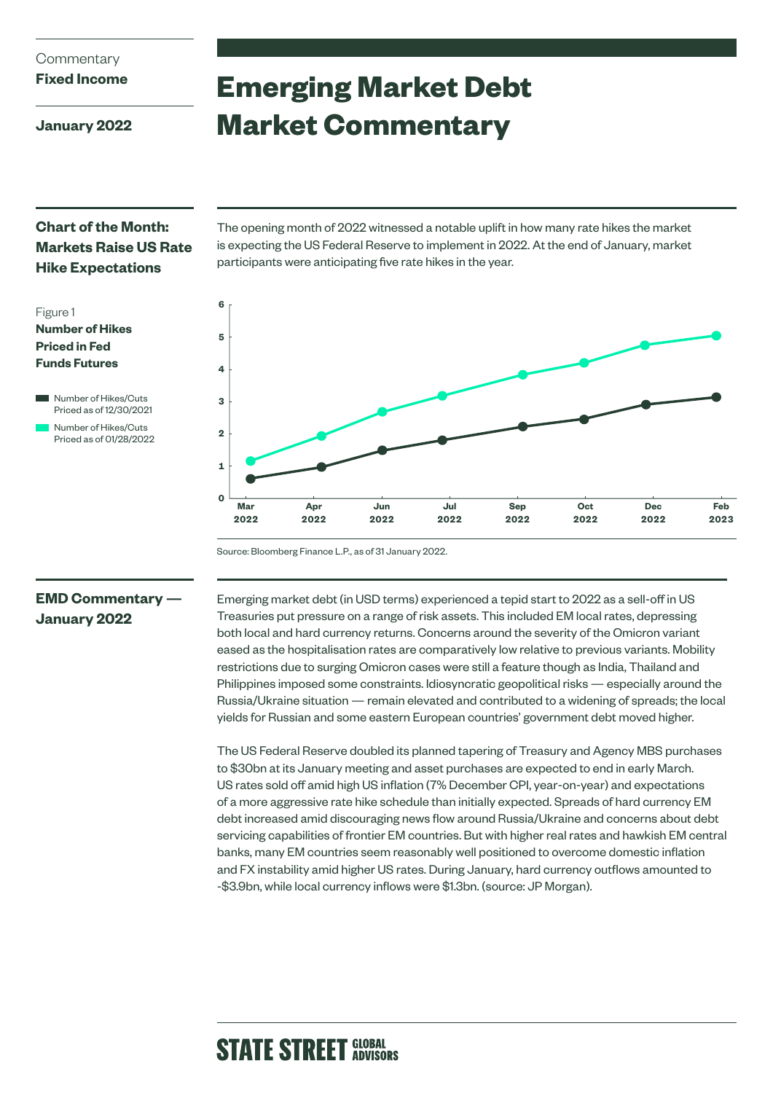# **Commentary**

**Fixed Income**

**January 2022**

# **Emerging Market Debt Market Commentary**

## **Chart of the Month: Markets Raise US Rate Hike Expectations**







The opening month of 2022 witnessed a notable uplift in how many rate hikes the market is expecting the US Federal Reserve to implement in 2022. At the end of January, market participants were anticipating five rate hikes in the year.



Source: Bloomberg Finance L.P., as of 31 January 2022.

### **EMD Commentary — January 2022**

Emerging market debt (in USD terms) experienced a tepid start to 2022 as a sell-off in US Treasuries put pressure on a range of risk assets. This included EM local rates, depressing both local and hard currency returns. Concerns around the severity of the Omicron variant eased as the hospitalisation rates are comparatively low relative to previous variants. Mobility restrictions due to surging Omicron cases were still a feature though as India, Thailand and Philippines imposed some constraints. Idiosyncratic geopolitical risks — especially around the Russia/Ukraine situation — remain elevated and contributed to a widening of spreads; the local yields for Russian and some eastern European countries' government debt moved higher.

The US Federal Reserve doubled its planned tapering of Treasury and Agency MBS purchases to \$30bn at its January meeting and asset purchases are expected to end in early March. US rates sold off amid high US inflation (7% December CPI, year-on-year) and expectations of a more aggressive rate hike schedule than initially expected. Spreads of hard currency EM debt increased amid discouraging news flow around Russia/Ukraine and concerns about debt servicing capabilities of frontier EM countries. But with higher real rates and hawkish EM central banks, many EM countries seem reasonably well positioned to overcome domestic inflation and FX instability amid higher US rates. During January, hard currency outflows amounted to -\$3.9bn, while local currency inflows were \$1.3bn. (source: JP Morgan).

# **STATE STREET GLOBAL**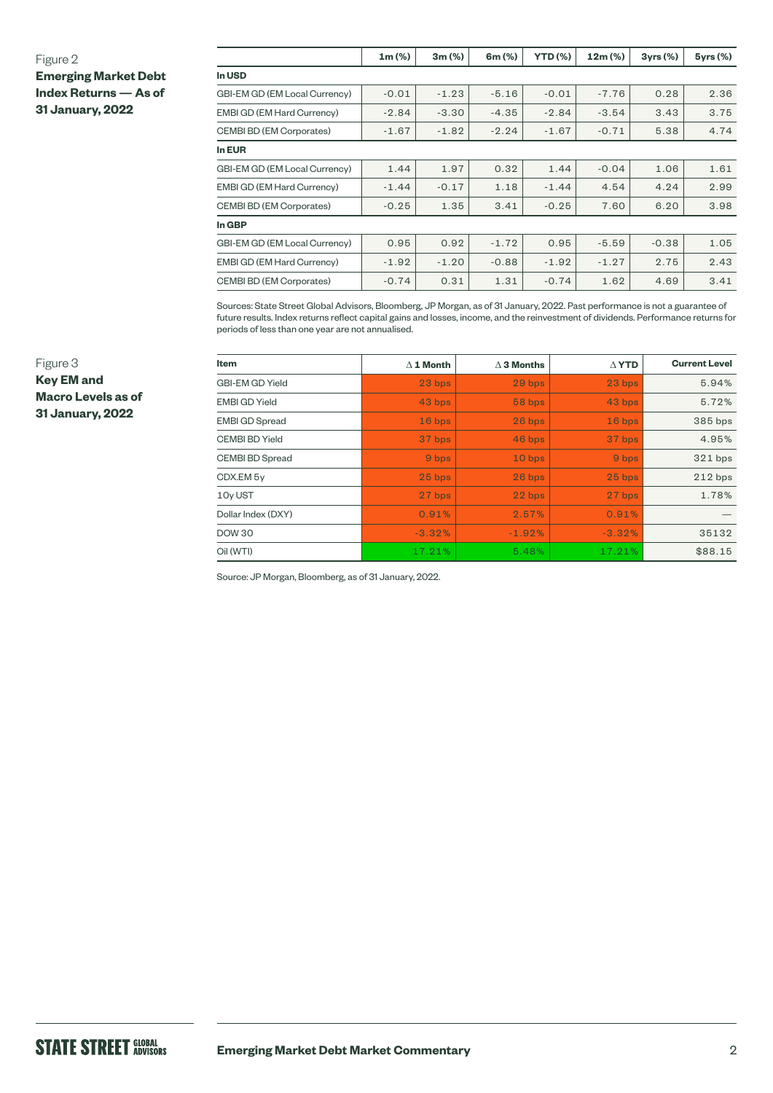### Figure 2

**Emerging Market Debt Index Returns — As of 31 January, 2022**

|                               | $1m (\%)$ | 3m(%)   | 6m (%)  | <b>YTD (%)</b> | $12m (\%)$ | 3yrs(%) | $5\gamma$ rs $(\%)$ |
|-------------------------------|-----------|---------|---------|----------------|------------|---------|---------------------|
| In USD                        |           |         |         |                |            |         |                     |
| GBI-EM GD (EM Local Currency) | $-0.01$   | $-1.23$ | $-5.16$ | $-0.01$        | $-7.76$    | 0.28    | 2.36                |
| EMBI GD (EM Hard Currency)    | $-2.84$   | $-3.30$ | $-4.35$ | $-2.84$        | $-3.54$    | 3.43    | 3.75                |
| CEMBI BD (EM Corporates)      | $-1.67$   | $-1.82$ | $-2.24$ | $-1.67$        | $-0.71$    | 5.38    | 4.74                |
| In EUR                        |           |         |         |                |            |         |                     |
| GBI-EM GD (EM Local Currency) | 1.44      | 1.97    | 0.32    | 1.44           | $-0.04$    | 1.06    | 1.61                |
| EMBI GD (EM Hard Currency)    | $-1.44$   | $-0.17$ | 1.18    | $-1.44$        | 4.54       | 4.24    | 2.99                |
| CEMBI BD (EM Corporates)      | $-0.25$   | 1.35    | 3.41    | $-0.25$        | 7.60       | 6.20    | 3.98                |
| In GBP                        |           |         |         |                |            |         |                     |
| GBI-EM GD (EM Local Currency) | 0.95      | 0.92    | $-1.72$ | 0.95           | $-5.59$    | $-0.38$ | 1.05                |
| EMBI GD (EM Hard Currency)    | $-1.92$   | $-1.20$ | $-0.88$ | $-1.92$        | $-1.27$    | 2.75    | 2.43                |
| CEMBI BD (EM Corporates)      | $-0.74$   | 0.31    | 1.31    | $-0.74$        | 1.62       | 4.69    | 3.41                |

Sources: State Street Global Advisors, Bloomberg, JP Morgan, as of 31 January, 2022. Past performance is not a guarantee of future results. Index returns reflect capital gains and losses, income, and the reinvestment of dividends. Performance returns for periods of less than one year are not annualised.

| Item                   | $\Delta$ 1 Month | $\Delta$ 3 Months | $\Delta$ YTD | <b>Current Level</b> |
|------------------------|------------------|-------------------|--------------|----------------------|
| <b>GBI-EM GD Yield</b> | 23 bps           | 29 bps            | 23 bps       | 5.94%                |
| <b>EMBI GD Yield</b>   | 43 bps           | 58 bps            | 43 bps       | 5.72%                |
| <b>EMBI GD Spread</b>  | $16$ bps         | 26 bps            | $16$ bps     | 385 bps              |
| <b>CEMBI BD Yield</b>  | 37 bps           | 46 bps            | 37 bps       | 4.95%                |
| <b>CEMBI BD Spread</b> | 9 bps            | 10 bps            | 9 bps        | 321 bps              |
| CDX.EM 5y              | $25$ bps         | 26 bps            | 25 bps       | $212$ bps            |
| 10y UST                | 27 bps           | 22 bps            | 27 bps       | 1.78%                |
| Dollar Index (DXY)     | 0.91%            | 2.57%             | 0.91%        |                      |
| <b>DOW 30</b>          | $-3.32%$         | $-1.92%$          | $-3.32%$     | 35132                |
| Oil (WTI)              | 17.21%           | 5.48%             | 17.21%       | \$88.15              |

Source: JP Morgan, Bloomberg, as of 31 January, 2022.

Figure 3 **Key EM and Macro Levels as of 31 January, 2022**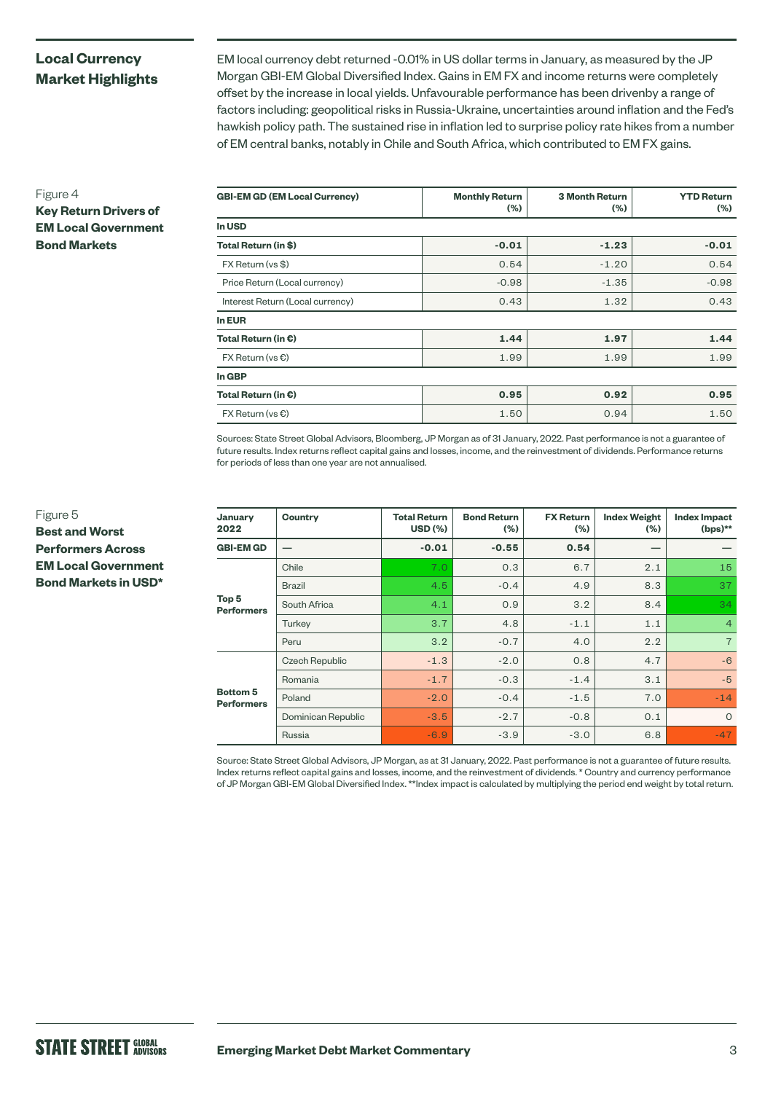### **Local Currency Market Highlights**

**Key Return Drivers of EM Local Government** 

**Bond Markets**

EM local currency debt returned -0.01% in US dollar terms in January, as measured by the JP Morgan GBI-EM Global Diversified Index. Gains in EM FX and income returns were completely offset by the increase in local yields. Unfavourable performance has been drivenby a range of factors including: geopolitical risks in Russia-Ukraine, uncertainties around inflation and the Fed's hawkish policy path. The sustained rise in inflation led to surprise policy rate hikes from a number of EM central banks, notably in Chile and South Africa, which contributed to EM FX gains.

| <b>GBI-EM GD (EM Local Currency)</b> | <b>Monthly Return</b><br>$(\% )$ | <b>3 Month Return</b><br>$(\% )$ | <b>YTD Return</b><br>$(\% )$ |  |
|--------------------------------------|----------------------------------|----------------------------------|------------------------------|--|
| In USD                               |                                  |                                  |                              |  |
| Total Return (in \$)                 | $-0.01$                          | $-1.23$                          | $-0.01$                      |  |
| FX Return (vs \$)                    | 0.54                             | $-1.20$                          | 0.54                         |  |
| Price Return (Local currency)        | $-0.98$                          | $-1.35$                          | $-0.98$                      |  |
| Interest Return (Local currency)     | 0.43                             | 1.32                             | 0.43                         |  |
| In EUR                               |                                  |                                  |                              |  |
| Total Return (in $\epsilon$ )        | 1.44                             | 1.97                             | 1.44                         |  |
| $FX$ Return (vs $\epsilon$ )         | 1.99                             | 1.99                             | 1.99                         |  |
| In GBP                               |                                  |                                  |                              |  |
| Total Return (in $\epsilon$ )        | 0.95                             | 0.92                             | 0.95                         |  |
| $FX$ Return (vs $\bigcirc$ )         | 1.50                             | 0.94                             | 1.50                         |  |

Sources: State Street Global Advisors, Bloomberg, JP Morgan as of 31 January, 2022. Past performance is not a guarantee of future results. Index returns reflect capital gains and losses, income, and the reinvestment of dividends. Performance returns for periods of less than one year are not annualised.

| January<br>2022                       | Country               | <b>Total Return</b><br><b>USD (%)</b> | <b>Bond Return</b><br>(%) | <b>FX Return</b><br>(%) | <b>Index Weight</b><br>$(\% )$ | <b>Index Impact</b><br>(bps)** |
|---------------------------------------|-----------------------|---------------------------------------|---------------------------|-------------------------|--------------------------------|--------------------------------|
| <b>GBI-EM GD</b>                      |                       | $-0.01$                               | $-0.55$                   | 0.54                    |                                |                                |
| Top <sub>5</sub><br><b>Performers</b> | Chile                 | 7.0                                   | 0.3                       | 6.7                     | 2.1                            | 15                             |
|                                       | <b>Brazil</b>         | 4.5                                   | $-0.4$                    | 4.9                     | 8.3                            | 37                             |
|                                       | South Africa          | 4.1                                   | 0.9                       | 3.2                     | 8.4                            | 34                             |
|                                       | Turkey                | 3.7                                   | 4.8                       | $-1.1$                  | 1.1                            | $\overline{4}$                 |
|                                       | Peru                  | 3.2                                   | $-0.7$                    | 4.0                     | 2.2                            | $\overline{7}$                 |
| <b>Bottom 5</b><br><b>Performers</b>  | <b>Czech Republic</b> | $-1.3$                                | $-2.0$                    | 0.8                     | 4.7                            | $-6$                           |
|                                       | Romania               | $-1.7$                                | $-0.3$                    | $-1.4$                  | 3.1                            | $-5$                           |
|                                       | Poland                | $-2.0$                                | $-0.4$                    | $-1.5$                  | 7.0                            | $-14$                          |
|                                       | Dominican Republic    | $-3.5$                                | $-2.7$                    | $-0.8$                  | 0.1                            | $\Omega$                       |
|                                       | Russia                | $-6.9$                                | $-3.9$                    | $-3.0$                  | 6.8                            | $-47$                          |

Source: State Street Global Advisors, JP Morgan, as at 31 January, 2022. Past performance is not a guarantee of future results. Index returns reflect capital gains and losses, income, and the reinvestment of dividends. \* Country and currency performance of JP Morgan GBI-EM Global Diversified Index. \*\*Index impact is calculated by multiplying the period end weight by total return.

Figure 4

Figure 5 **Best and Worst Performers Across EM Local Government Bond Markets in USD\***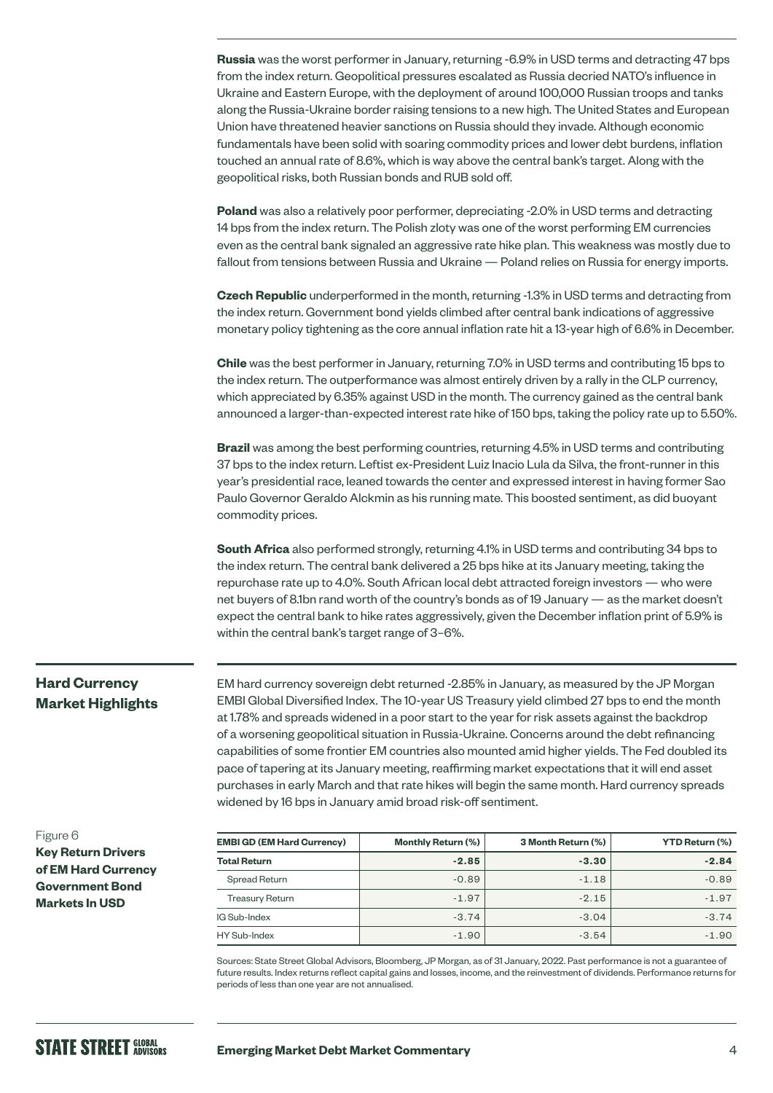**Russia** was the worst performer in January, returning -6.9% in USD terms and detracting 47 bps from the index return. Geopolitical pressures escalated as Russia decried NATO's influence in Ukraine and Eastern Europe, with the deployment of around 100,000 Russian troops and tanks along the Russia-Ukraine border raising tensions to a new high. The United States and European Union have threatened heavier sanctions on Russia should they invade. Although economic fundamentals have been solid with soaring commodity prices and lower debt burdens, inflation touched an annual rate of 8.6%, which is way above the central bank's target. Along with the geopolitical risks, both Russian bonds and RUB sold off.

**Poland** was also a relatively poor performer, depreciating -2.0% in USD terms and detracting 14 bps from the index return. The Polish zloty was one of the worst performing EM currencies even as the central bank signaled an aggressive rate hike plan. This weakness was mostly due to fallout from tensions between Russia and Ukraine — Poland relies on Russia for energy imports.

**Czech Republic** underperformed in the month, returning -1.3% in USD terms and detracting from the index return. Government bond yields climbed after central bank indications of aggressive monetary policy tightening as the core annual inflation rate hit a 13-year high of 6.6% in December.

**Chile** was the best performer in January, returning 7.0% in USD terms and contributing 15 bps to the index return. The outperformance was almost entirely driven by a rally in the CLP currency, which appreciated by 6.35% against USD in the month. The currency gained as the central bank announced a larger-than-expected interest rate hike of 150 bps, taking the policy rate up to 5.50%.

**Brazil** was among the best performing countries, returning 4.5% in USD terms and contributing 37 bps to the index return. Leftist ex-President Luiz Inacio Lula da Silva, the front-runner in this year's presidential race, leaned towards the center and expressed interest in having former Sao Paulo Governor Geraldo Alckmin as his running mate. This boosted sentiment, as did buoyant commodity prices.

**South Africa** also performed strongly, returning 4.1% in USD terms and contributing 34 bps to the index return. The central bank delivered a 25 bps hike at its January meeting, taking the repurchase rate up to 4.0%. South African local debt attracted foreign investors — who were net buyers of 8.1bn rand worth of the country's bonds as of 19 January — as the market doesn't expect the central bank to hike rates aggressively, given the December inflation print of 5.9% is within the central bank's target range of 3–6%.

### **Hard Currency Market Highlights**

EM hard currency sovereign debt returned -2.85% in January, as measured by the JP Morgan EMBI Global Diversified Index. The 10-year US Treasury yield climbed 27 bps to end the month at 1.78% and spreads widened in a poor start to the year for risk assets against the backdrop of a worsening geopolitical situation in Russia-Ukraine. Concerns around the debt refinancing capabilities of some frontier EM countries also mounted amid higher yields. The Fed doubled its pace of tapering at its January meeting, reaffirming market expectations that it will end asset purchases in early March and that rate hikes will begin the same month. Hard currency spreads widened by 16 bps in January amid broad risk-off sentiment.

**Key Return Drivers of EM Hard Currency Government Bond Markets In USD**

| <b>EMBI GD (EM Hard Currency)</b> | <b>Monthly Return (%)</b> | 3 Month Return (%) | <b>YTD Return (%)</b> |
|-----------------------------------|---------------------------|--------------------|-----------------------|
| <b>Total Return</b>               | $-2.85$                   | $-3.30$            | $-2.84$               |
| Spread Return                     | $-0.89$                   | $-1.18$            | $-0.89$               |
| <b>Treasury Return</b>            | $-1.97$                   | $-2.15$            | $-1.97$               |
| IG Sub-Index                      | $-3.74$                   | $-3.04$            | $-3.74$               |
| HY Sub-Index                      | $-1.90$                   | $-3.54$            | $-1.90$               |

Sources: State Street Global Advisors, Bloomberg, JP Morgan, as of 31 January, 2022. Past performance is not a guarantee of future results. Index returns reflect capital gains and losses, income, and the reinvestment of dividends. Performance returns for periods of less than one year are not annualised.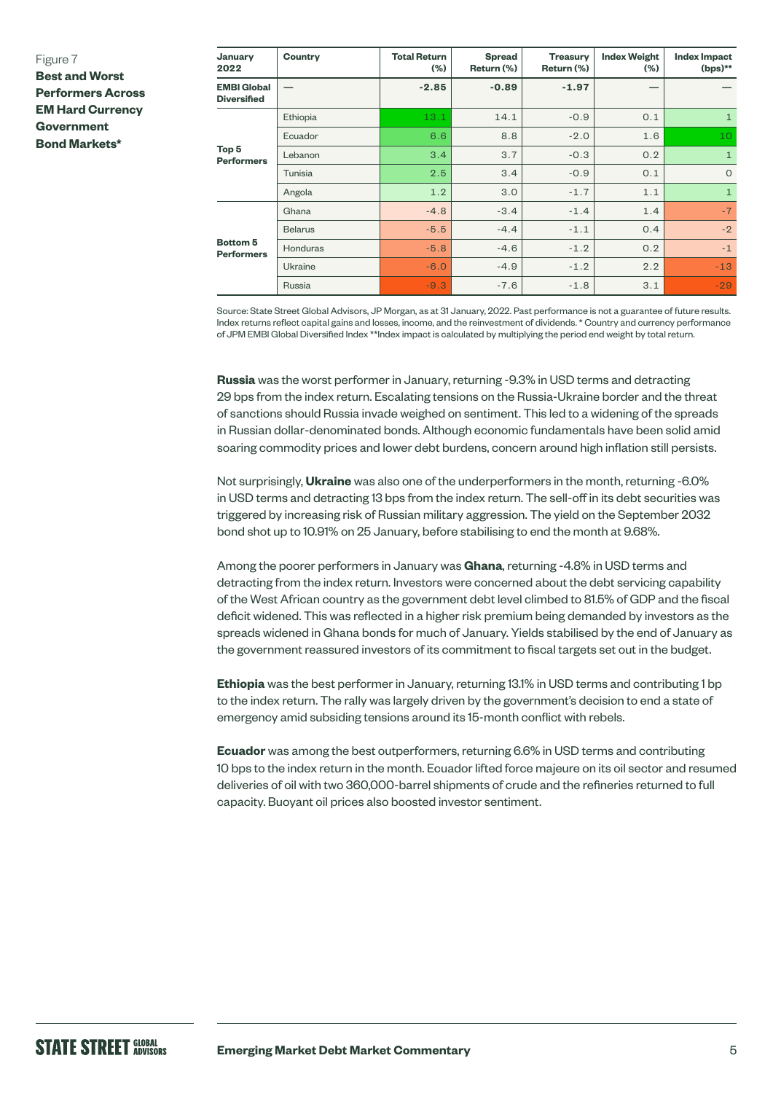### Figure 7

**Best and Worst Performers Across EM Hard Currency Government Bond Markets\***

| January<br>2022                          | Country         | <b>Total Return</b><br>$(\% )$ | <b>Spread</b><br>Return (%) | <b>Treasury</b><br>Return (%) | <b>Index Weight</b><br>$(\% )$ | <b>Index Impact</b><br>$(bps)$ ** |
|------------------------------------------|-----------------|--------------------------------|-----------------------------|-------------------------------|--------------------------------|-----------------------------------|
| <b>EMBI Global</b><br><b>Diversified</b> |                 | $-2.85$                        | $-0.89$                     | $-1.97$                       |                                |                                   |
| Top <sub>5</sub><br><b>Performers</b>    | Ethiopia        | 13.1                           | 14.1                        | $-0.9$                        | 0.1                            | $\mathbf{1}$                      |
|                                          | Ecuador         | 6.6                            | 8.8                         | $-2.0$                        | 1.6                            | 10                                |
|                                          | Lebanon         | 3.4                            | 3.7                         | $-0.3$                        | 0.2                            | $\mathbf{1}$                      |
|                                          | Tunisia         | 2.5                            | 3.4                         | $-0.9$                        | 0.1                            | $\circ$                           |
|                                          | Angola          | 1.2                            | 3.0                         | $-1.7$                        | 1.1                            | $\mathbf{1}$                      |
| <b>Bottom 5</b><br><b>Performers</b>     | Ghana           | $-4.8$                         | $-3.4$                      | $-1.4$                        | 1.4                            | $-7$                              |
|                                          | <b>Belarus</b>  | $-5.5$                         | $-4.4$                      | $-1.1$                        | 0.4                            | $-2$                              |
|                                          | <b>Honduras</b> | $-5.8$                         | $-4.6$                      | $-1.2$                        | 0.2                            | $-1$                              |
|                                          | Ukraine         | $-6.0$                         | $-4.9$                      | $-1.2$                        | 2.2                            | $-13$                             |
|                                          | Russia          | $-9.3$                         | $-7.6$                      | $-1.8$                        | 3.1                            | $-29$                             |

Source: State Street Global Advisors, JP Morgan, as at 31 January, 2022. Past performance is not a guarantee of future results. Index returns reflect capital gains and losses, income, and the reinvestment of dividends. \* Country and currency performance of JPM EMBI Global Diversified Index \*\*Index impact is calculated by multiplying the period end weight by total return.

**Russia** was the worst performer in January, returning -9.3% in USD terms and detracting 29 bps from the index return. Escalating tensions on the Russia-Ukraine border and the threat of sanctions should Russia invade weighed on sentiment. This led to a widening of the spreads in Russian dollar-denominated bonds. Although economic fundamentals have been solid amid soaring commodity prices and lower debt burdens, concern around high inflation still persists.

Not surprisingly, **Ukraine** was also one of the underperformers in the month, returning -6.0% in USD terms and detracting 13 bps from the index return. The sell-off in its debt securities was triggered by increasing risk of Russian military aggression. The yield on the September 2032 bond shot up to 10.91% on 25 January, before stabilising to end the month at 9.68%.

Among the poorer performers in January was **Ghana**, returning -4.8% in USD terms and detracting from the index return. Investors were concerned about the debt servicing capability of the West African country as the government debt level climbed to 81.5% of GDP and the fiscal deficit widened. This was reflected in a higher risk premium being demanded by investors as the spreads widened in Ghana bonds for much of January. Yields stabilised by the end of January as the government reassured investors of its commitment to fiscal targets set out in the budget.

**Ethiopia** was the best performer in January, returning 13.1% in USD terms and contributing 1 bp to the index return. The rally was largely driven by the government's decision to end a state of emergency amid subsiding tensions around its 15-month conflict with rebels.

**Ecuador** was among the best outperformers, returning 6.6% in USD terms and contributing 10 bps to the index return in the month. Ecuador lifted force majeure on its oil sector and resumed deliveries of oil with two 360,000-barrel shipments of crude and the refineries returned to full capacity. Buoyant oil prices also boosted investor sentiment.